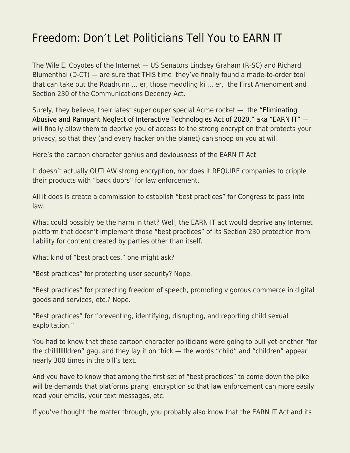## [Freedom: Don't Let Politicians Tell You to EARN IT](https://everything-voluntary.com/freedom-dont-let-politicians-tell-you-to-earn-it)

The Wile E. Coyotes of the Internet — US Senators Lindsey Graham (R-SC) and Richard Blumenthal (D-CT) — are sure that THIS time they've finally found a made-to-order tool that can take out the Roadrunn … er, those meddling ki … er, the First Amendment and Section 230 of the Communications Decency Act.

Surely, they believe, their latest super duper special Acme rocket — the ["Eliminating](https://www.eff.org/document/earn-it-act-introduced) [Abusive and Rampant Neglect of Interactive Technologies Act of 2020," aka "EARN IT"](https://www.eff.org/document/earn-it-act-introduced)  will finally allow them to deprive you of access to the strong encryption that protects your privacy, so that they (and every hacker on the planet) can snoop on you at will.

Here's the cartoon character genius and deviousness of the EARN IT Act:

It doesn't actually OUTLAW strong encryption, nor does it REQUIRE companies to cripple their products with "back doors" for law enforcement.

All it does is create a commission to establish "best practices" for Congress to pass into law.

What could possibly be the harm in that? Well, the EARN IT act would deprive any Internet platform that doesn't implement those "best practices" of its Section 230 protection from liability for content created by parties other than itself.

What kind of "best practices," one might ask?

"Best practices" for protecting user security? Nope.

"Best practices" for protecting freedom of speech, promoting vigorous commerce in digital goods and services, etc.? Nope.

"Best practices" for "preventing, identifying, disrupting, and reporting child sexual exploitation."

You had to know that these cartoon character politicians were going to pull yet another "for the chilllllllldren" gag, and they lay it on thick — the words "child" and "children" appear nearly 300 times in the bill's text.

And you have to know that among the first set of "best practices" to come down the pike will be demands that platforms prang encryption so that law enforcement can more easily read your emails, your text messages, etc.

If you've thought the matter through, you probably also know that the EARN IT Act and its